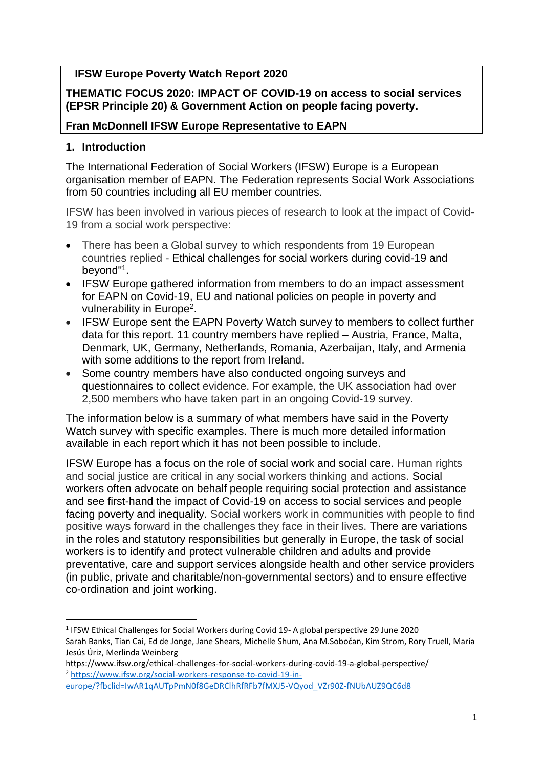## **IFSW Europe Poverty Watch Report 2020**

**THEMATIC FOCUS 2020: IMPACT OF COVID-19 on access to social services (EPSR Principle 20) & Government Action on people facing poverty.** 

### **Fran McDonnell IFSW Europe Representative to EAPN**

### **1. Introduction**

The International Federation of Social Workers (IFSW) Europe is a European organisation member of EAPN. The Federation represents Social Work Associations from 50 countries including all EU member countries.

IFSW has been involved in various pieces of research to look at the impact of Covid-19 from a social work perspective:

- There has been a Global survey to which respondents from 19 European countries replied - Ethical challenges for social workers during covid-19 and beyond"<sup>1</sup> .
- IFSW Europe gathered information from members to do an impact assessment for EAPN on Covid-19, EU and national policies on people in poverty and vulnerability in Europe<sup>2</sup>.
- IFSW Europe sent the EAPN Poverty Watch survey to members to collect further data for this report. 11 country members have replied – Austria, France, Malta, Denmark, UK, Germany, Netherlands, Romania, Azerbaijan, Italy, and Armenia with some additions to the report from Ireland.
- Some country members have also conducted ongoing surveys and questionnaires to collect evidence. For example, the UK association had over 2,500 members who have taken part in an ongoing Covid-19 survey.

The information below is a summary of what members have said in the Poverty Watch survey with specific examples. There is much more detailed information available in each report which it has not been possible to include.

IFSW Europe has a focus on the role of social work and social care. Human rights and social justice are critical in any social workers thinking and actions. Social workers often advocate on behalf people requiring social protection and assistance and see first-hand the impact of Covid-19 on access to social services and people facing poverty and inequality. Social workers work in communities with people to find positive ways forward in the challenges they face in their lives. There are variations in the roles and statutory responsibilities but generally in Europe, the task of social workers is to identify and protect vulnerable children and adults and provide preventative, care and support services alongside health and other service providers (in public, private and charitable/non-governmental sectors) and to ensure effective co-ordination and joint working.

<sup>&</sup>lt;sup>1</sup> IFSW Ethical Challenges for Social Workers during Covid 19- A global perspective 29 June 2020 Sarah Banks, Tian Cai, Ed de Jonge, Jane Shears, Michelle Shum, Ana M.Sobočan, Kim Strom, Rory Truell, María Jesús Úriz, Merlinda Weinberg

https://www.ifsw.org/ethical-challenges-for-social-workers-during-covid-19-a-global-perspective/ <sup>2</sup> [https://www.ifsw.org/social-workers-response-to-covid-19-in-](https://www.ifsw.org/social-workers-response-to-covid-19-in-europe/?fbclid=IwAR1qAUTpPmN0f8GeDRClhRfRFb7fMXJ5-VQyod_VZr90Z-fNUbAUZ9QC6d8)

[europe/?fbclid=IwAR1qAUTpPmN0f8GeDRClhRfRFb7fMXJ5-VQyod\\_VZr90Z-fNUbAUZ9QC6d8](https://www.ifsw.org/social-workers-response-to-covid-19-in-europe/?fbclid=IwAR1qAUTpPmN0f8GeDRClhRfRFb7fMXJ5-VQyod_VZr90Z-fNUbAUZ9QC6d8)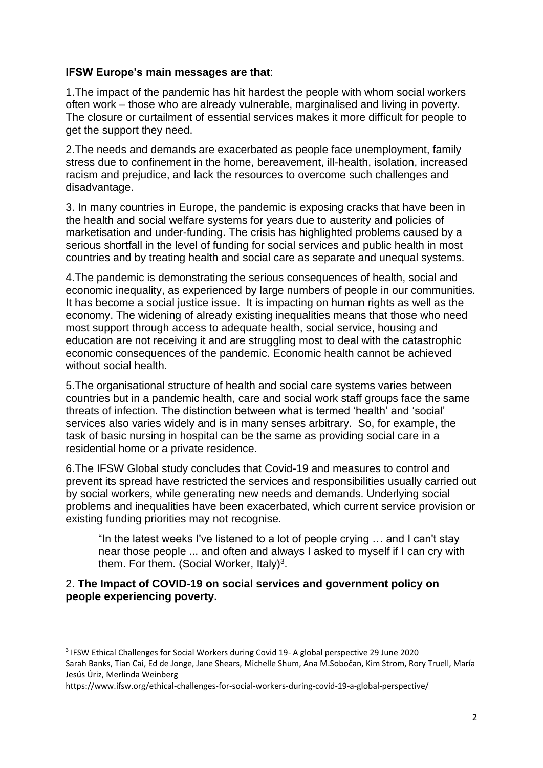### **IFSW Europe's main messages are that**:

1.The impact of the pandemic has hit hardest the people with whom social workers often work – those who are already vulnerable, marginalised and living in poverty. The closure or curtailment of essential services makes it more difficult for people to get the support they need.

2.The needs and demands are exacerbated as people face unemployment, family stress due to confinement in the home, bereavement, ill-health, isolation, increased racism and prejudice, and lack the resources to overcome such challenges and disadvantage.

3. In many countries in Europe, the pandemic is exposing cracks that have been in the health and social welfare systems for years due to austerity and policies of marketisation and under-funding. The crisis has highlighted problems caused by a serious shortfall in the level of funding for social services and public health in most countries and by treating health and social care as separate and unequal systems.

4.The pandemic is demonstrating the serious consequences of health, social and economic inequality, as experienced by large numbers of people in our communities. It has become a social justice issue. It is impacting on human rights as well as the economy. The widening of already existing inequalities means that those who need most support through access to adequate health, social service, housing and education are not receiving it and are struggling most to deal with the catastrophic economic consequences of the pandemic. Economic health cannot be achieved without social health.

5.The organisational structure of health and social care systems varies between countries but in a pandemic health, care and social work staff groups face the same threats of infection. The distinction between what is termed 'health' and 'social' services also varies widely and is in many senses arbitrary. So, for example, the task of basic nursing in hospital can be the same as providing social care in a residential home or a private residence.

6.The IFSW Global study concludes that Covid-19 and measures to control and prevent its spread have restricted the services and responsibilities usually carried out by social workers, while generating new needs and demands. Underlying social problems and inequalities have been exacerbated, which current service provision or existing funding priorities may not recognise.

"In the latest weeks I've listened to a lot of people crying … and I can't stay near those people ... and often and always I asked to myself if I can cry with them. For them. (Social Worker, Italy)<sup>3</sup>.

### 2. **The Impact of COVID-19 on social services and government policy on people experiencing poverty.**

<sup>&</sup>lt;sup>3</sup> IFSW Ethical Challenges for Social Workers during Covid 19- A global perspective 29 June 2020 Sarah Banks, Tian Cai, Ed de Jonge, Jane Shears, Michelle Shum, Ana M.Sobočan, Kim Strom, Rory Truell, María Jesús Úriz, Merlinda Weinberg

https://www.ifsw.org/ethical-challenges-for-social-workers-during-covid-19-a-global-perspective/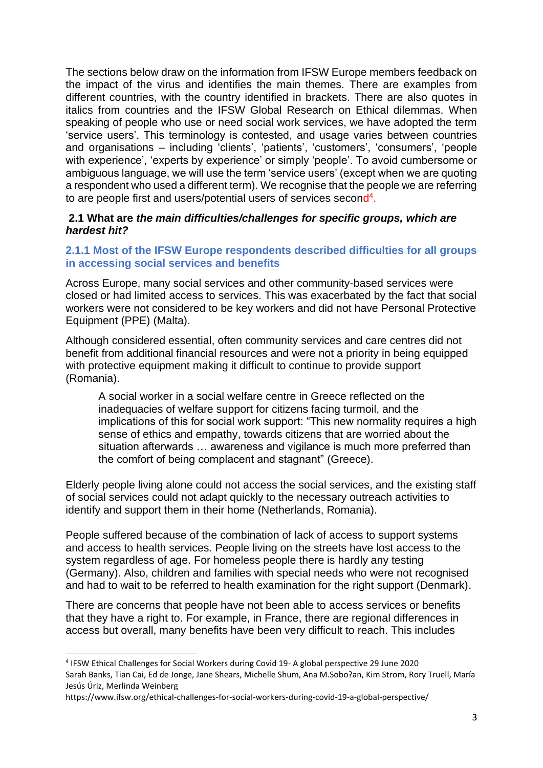The sections below draw on the information from IFSW Europe members feedback on the impact of the virus and identifies the main themes. There are examples from different countries, with the country identified in brackets. There are also quotes in italics from countries and the IFSW Global Research on Ethical dilemmas. When speaking of people who use or need social work services, we have adopted the term 'service users'. This terminology is contested, and usage varies between countries and organisations – including 'clients', 'patients', 'customers', 'consumers', 'people with experience', 'experts by experience' or simply 'people'. To avoid cumbersome or ambiguous language, we will use the term 'service users' (except when we are quoting a respondent who used a different term). We recognise that the people we are referring to are people first and users/potential users of services second<sup>4</sup>.

### **2.1 What are** *the main difficulties/challenges for specific groups, which are hardest hit?*

#### **2.1.1 Most of the IFSW Europe respondents described difficulties for all groups in accessing social services and benefits**

Across Europe, many social services and other community-based services were closed or had limited access to services. This was exacerbated by the fact that social workers were not considered to be key workers and did not have Personal Protective Equipment (PPE) (Malta).

Although considered essential, often community services and care centres did not benefit from additional financial resources and were not a priority in being equipped with protective equipment making it difficult to continue to provide support (Romania).

A social worker in a social welfare centre in Greece reflected on the inadequacies of welfare support for citizens facing turmoil, and the implications of this for social work support: "This new normality requires a high sense of ethics and empathy, towards citizens that are worried about the situation afterwards … awareness and vigilance is much more preferred than the comfort of being complacent and stagnant" (Greece).

Elderly people living alone could not access the social services, and the existing staff of social services could not adapt quickly to the necessary outreach activities to identify and support them in their home (Netherlands, Romania).

People suffered because of the combination of lack of access to support systems and access to health services. People living on the streets have lost access to the system regardless of age. For homeless people there is hardly any testing (Germany). Also, children and families with special needs who were not recognised and had to wait to be referred to health examination for the right support (Denmark).

There are concerns that people have not been able to access services or benefits that they have a right to. For example, in France, there are regional differences in access but overall, many benefits have been very difficult to reach. This includes

<sup>4</sup> IFSW Ethical Challenges for Social Workers during Covid 19- A global perspective 29 June 2020 Sarah Banks, Tian Cai, Ed de Jonge, Jane Shears, Michelle Shum, Ana M.Sobo?an, Kim Strom, Rory Truell, María Jesús Úriz, Merlinda Weinberg

https://www.ifsw.org/ethical-challenges-for-social-workers-during-covid-19-a-global-perspective/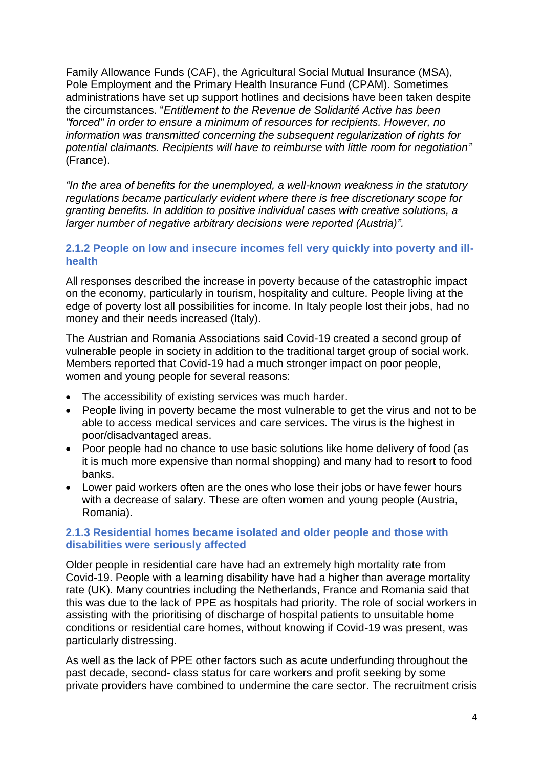Family Allowance Funds (CAF), the Agricultural Social Mutual Insurance (MSA), Pole Employment and the Primary Health Insurance Fund (CPAM). Sometimes administrations have set up support hotlines and decisions have been taken despite the circumstances. "*Entitlement to the Revenue de Solidarité Active has been "forced" in order to ensure a minimum of resources for recipients. However, no information was transmitted concerning the subsequent regularization of rights for potential claimants. Recipients will have to reimburse with little room for negotiation"* (France).

*"In the area of benefits for the unemployed, a well-known weakness in the statutory regulations became particularly evident where there is free discretionary scope for granting benefits. In addition to positive individual cases with creative solutions, a larger number of negative arbitrary decisions were reported (Austria)".* 

#### **2.1.2 People on low and insecure incomes fell very quickly into poverty and illhealth**

All responses described the increase in poverty because of the catastrophic impact on the economy, particularly in tourism, hospitality and culture. People living at the edge of poverty lost all possibilities for income. In Italy people lost their jobs, had no money and their needs increased (Italy).

The Austrian and Romania Associations said Covid-19 created a second group of vulnerable people in society in addition to the traditional target group of social work. Members reported that Covid-19 had a much stronger impact on poor people, women and young people for several reasons:

- The accessibility of existing services was much harder.
- People living in poverty became the most vulnerable to get the virus and not to be able to access medical services and care services. The virus is the highest in poor/disadvantaged areas.
- Poor people had no chance to use basic solutions like home delivery of food (as it is much more expensive than normal shopping) and many had to resort to food banks.
- Lower paid workers often are the ones who lose their jobs or have fewer hours with a decrease of salary. These are often women and young people (Austria, Romania).

#### **2.1.3 Residential homes became isolated and older people and those with disabilities were seriously affected**

Older people in residential care have had an extremely high mortality rate from Covid-19. People with a learning disability have had a higher than average mortality rate (UK). Many countries including the Netherlands, France and Romania said that this was due to the lack of PPE as hospitals had priority. The role of social workers in assisting with the prioritising of discharge of hospital patients to unsuitable home conditions or residential care homes, without knowing if Covid-19 was present, was particularly distressing.

As well as the lack of PPE other factors such as acute underfunding throughout the past decade, second- class status for care workers and profit seeking by some private providers have combined to undermine the care sector. The recruitment crisis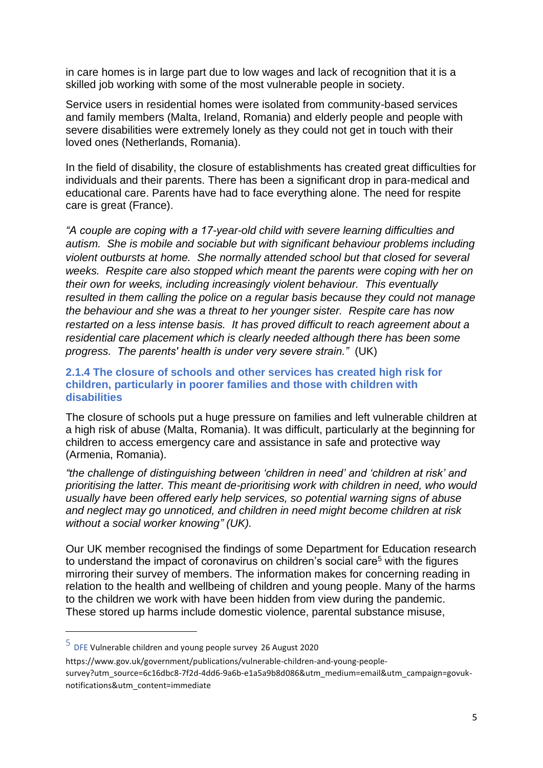in care homes is in large part due to low wages and lack of recognition that it is a skilled job working with some of the most vulnerable people in society.

Service users in residential homes were isolated from community-based services and family members (Malta, Ireland, Romania) and elderly people and people with severe disabilities were extremely lonely as they could not get in touch with their loved ones (Netherlands, Romania).

In the field of disability, the closure of establishments has created great difficulties for individuals and their parents. There has been a significant drop in para-medical and educational care. Parents have had to face everything alone. The need for respite care is great (France).

*"A couple are coping with a 17-year-old child with severe learning difficulties and autism. She is mobile and sociable but with significant behaviour problems including violent outbursts at home. She normally attended school but that closed for several weeks. Respite care also stopped which meant the parents were coping with her on their own for weeks, including increasingly violent behaviour. This eventually resulted in them calling the police on a regular basis because they could not manage the behaviour and she was a threat to her younger sister. Respite care has now restarted on a less intense basis. It has proved difficult to reach agreement about a residential care placement which is clearly needed although there has been some progress. The parents' health is under very severe strain."* (UK)

#### **2.1.4 The closure of schools and other services has created high risk for children, particularly in poorer families and those with children with disabilities**

The closure of schools put a huge pressure on families and left vulnerable children at a high risk of abuse (Malta, Romania). It was difficult, particularly at the beginning for children to access emergency care and assistance in safe and protective way (Armenia, Romania).

*"the challenge of distinguishing between 'children in need' and 'children at risk' and prioritising the latter. This meant de-prioritising work with children in need, who would usually have been offered early help services, so potential warning signs of abuse and neglect may go unnoticed, and children in need might become children at risk without a social worker knowing" (UK).*

Our UK member recognised the findings of some Department for Education research to understand the impact of coronavirus on children's social care<sup>5</sup> with the figures mirroring their survey of members. The information makes for concerning reading in relation to the health and wellbeing of children and young people. Many of the harms to the children we work with have been hidden from view during the pandemic. These stored up harms include domestic violence, parental substance misuse,

 $5$  DFE Vulnerable children and young people survey 26 August 2020

https://www.gov.uk/government/publications/vulnerable-children-and-young-peoplesurvey?utm\_source=6c16dbc8-7f2d-4dd6-9a6b-e1a5a9b8d086&utm\_medium=email&utm\_campaign=govuknotifications&utm\_content=immediate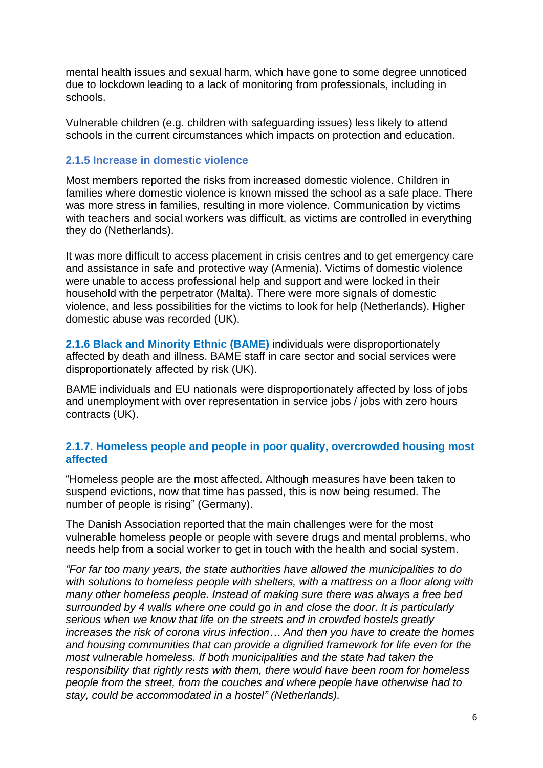mental health issues and sexual harm, which have gone to some degree unnoticed due to lockdown leading to a lack of monitoring from professionals, including in schools.

Vulnerable children (e.g. children with safeguarding issues) less likely to attend schools in the current circumstances which impacts on protection and education.

#### **2.1.5 Increase in domestic violence**

Most members reported the risks from increased domestic violence. Children in families where domestic violence is known missed the school as a safe place. There was more stress in families, resulting in more violence. Communication by victims with teachers and social workers was difficult, as victims are controlled in everything they do (Netherlands).

It was more difficult to access placement in crisis centres and to get emergency care and assistance in safe and protective way (Armenia). Victims of domestic violence were unable to access professional help and support and were locked in their household with the perpetrator (Malta). There were more signals of domestic violence, and less possibilities for the victims to look for help (Netherlands). Higher domestic abuse was recorded (UK).

**2.1.6 Black and Minority Ethnic (BAME)** individuals were disproportionately affected by death and illness. BAME staff in care sector and social services were disproportionately affected by risk (UK).

BAME individuals and EU nationals were disproportionately affected by loss of jobs and unemployment with over representation in service jobs / jobs with zero hours contracts (UK).

#### **2.1.7. Homeless people and people in poor quality, overcrowded housing most affected**

"Homeless people are the most affected. Although measures have been taken to suspend evictions, now that time has passed, this is now being resumed. The number of people is rising" (Germany).

The Danish Association reported that the main challenges were for the most vulnerable homeless people or people with severe drugs and mental problems, who needs help from a social worker to get in touch with the health and social system.

*"For far too many years, the state authorities have allowed the municipalities to do with solutions to homeless people with shelters, with a mattress on a floor along with many other homeless people. Instead of making sure there was always a free bed surrounded by 4 walls where one could go in and close the door. It is particularly serious when we know that life on the streets and in crowded hostels greatly increases the risk of corona virus infection… And then you have to create the homes and housing communities that can provide a dignified framework for life even for the most vulnerable homeless. If both municipalities and the state had taken the responsibility that rightly rests with them, there would have been room for homeless people from the street, from the couches and where people have otherwise had to stay, could be accommodated in a hostel" (Netherlands).*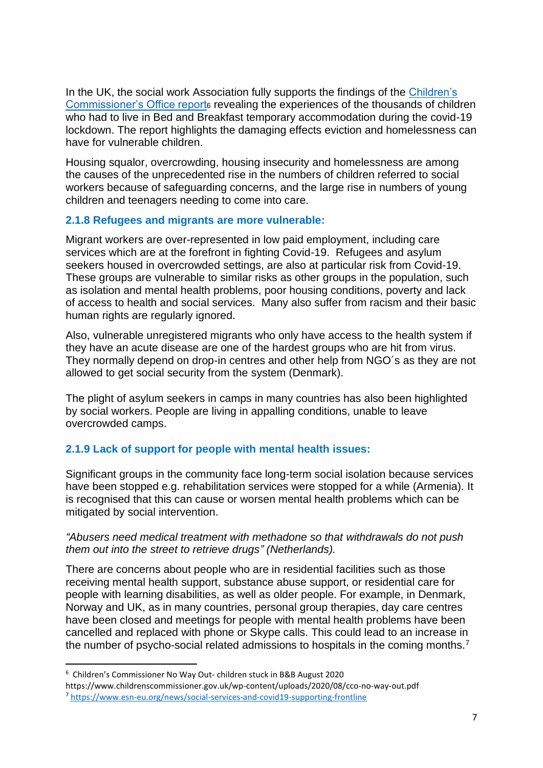In the UK, the social work Association fully supports the findings of the [Children's](https://childrenscommissioner.us20.list-manage.com/track/click?u=16993ca94a1f1469c8830a765&id=e1a00e6505&e=365244bef1)  [Commissioner's Office report](https://childrenscommissioner.us20.list-manage.com/track/click?u=16993ca94a1f1469c8830a765&id=e1a00e6505&e=365244bef1)e revealing the experiences of the thousands of children who had to live in Bed and Breakfast temporary accommodation during the covid-19 lockdown. The report highlights the damaging effects eviction and homelessness can have for vulnerable children.

Housing squalor, overcrowding, housing insecurity and homelessness are among the causes of the unprecedented rise in the numbers of children referred to social workers because of safeguarding concerns, and the large rise in numbers of young children and teenagers needing to come into care.

### **2.1.8 Refugees and migrants are more vulnerable:**

Migrant workers are over-represented in low paid employment, including care services which are at the forefront in fighting Covid-19. Refugees and asylum seekers housed in overcrowded settings, are also at particular risk from Covid-19. These groups are vulnerable to similar risks as other groups in the population, such as isolation and mental health problems, poor housing conditions, poverty and lack of access to health and social services. Many also suffer from racism and their basic human rights are regularly ignored.

Also, vulnerable unregistered migrants who only have access to the health system if they have an acute disease are one of the hardest groups who are hit from virus. They normally depend on drop-in centres and other help from NGO´s as they are not allowed to get social security from the system (Denmark).

The plight of asylum seekers in camps in many countries has also been highlighted by social workers. People are living in appalling conditions, unable to leave overcrowded camps.

### **2.1.9 Lack of support for people with mental health issues:**

Significant groups in the community face long-term social isolation because services have been stopped e.g. rehabilitation services were stopped for a while (Armenia). It is recognised that this can cause or worsen mental health problems which can be mitigated by social intervention.

#### *"Abusers need medical treatment with methadone so that withdrawals do not push them out into the street to retrieve drugs" (Netherlands).*

There are concerns about people who are in residential facilities such as those receiving mental health support, substance abuse support, or residential care for people with learning disabilities, as well as older people. For example, in Denmark, Norway and UK, as in many countries, personal group therapies, day care centres have been closed and meetings for people with mental health problems have been cancelled and replaced with phone or Skype calls. This could lead to an increase in the number of psycho-social related admissions to hospitals in the coming months.<sup>7</sup>

<sup>6</sup> Children's Commissioner No Way Out- children stuck in B&B August 2020

https://www.childrenscommissioner.gov.uk/wp-content/uploads/2020/08/cco-no-way-out.pdf

<sup>7</sup> <https://www.esn-eu.org/news/social-services-and-covid19-supporting-frontline>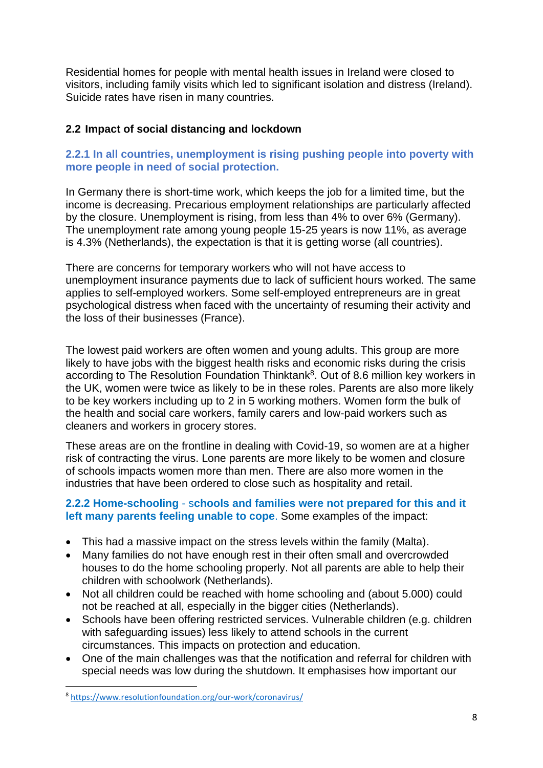Residential homes for people with mental health issues in Ireland were closed to visitors, including family visits which led to significant isolation and distress (Ireland). Suicide rates have risen in many countries.

### **2.2 Impact of social distancing and lockdown**

### **2.2.1 In all countries, unemployment is rising pushing people into poverty with more people in need of social protection.**

In Germany there is short-time work, which keeps the job for a limited time, but the income is decreasing. Precarious employment relationships are particularly affected by the closure. Unemployment is rising, from less than 4% to over 6% (Germany). The unemployment rate among young people 15-25 years is now 11%, as average is 4.3% (Netherlands), the expectation is that it is getting worse (all countries).

There are concerns for temporary workers who will not have access to unemployment insurance payments due to lack of sufficient hours worked. The same applies to self-employed workers. Some self-employed entrepreneurs are in great psychological distress when faced with the uncertainty of resuming their activity and the loss of their businesses (France).

The lowest paid workers are often women and young adults. This group are more likely to have jobs with the biggest health risks and economic risks during the crisis according to The Resolution Foundation Thinktank<sup>8</sup>. Out of 8.6 million key workers in the UK, women were twice as likely to be in these roles. Parents are also more likely to be key workers including up to 2 in 5 working mothers. Women form the bulk of the health and social care workers, family carers and low-paid workers such as cleaners and workers in grocery stores.

These areas are on the frontline in dealing with Covid-19, so women are at a higher risk of contracting the virus. Lone parents are more likely to be women and closure of schools impacts women more than men. There are also more women in the industries that have been ordered to close such as hospitality and retail.

### **2.2.2 Home-schooling** - s**chools and families were not prepared for this and it left many parents feeling unable to cope**. Some examples of the impact:

- This had a massive impact on the stress levels within the family (Malta).
- Many families do not have enough rest in their often small and overcrowded houses to do the home schooling properly. Not all parents are able to help their children with schoolwork (Netherlands).
- Not all children could be reached with home schooling and (about 5.000) could not be reached at all, especially in the bigger cities (Netherlands).
- Schools have been offering restricted services. Vulnerable children (e.g. children with safeguarding issues) less likely to attend schools in the current circumstances. This impacts on protection and education.
- One of the main challenges was that the notification and referral for children with special needs was low during the shutdown. It emphasises how important our

<sup>8</sup> <https://www.resolutionfoundation.org/our-work/coronavirus/>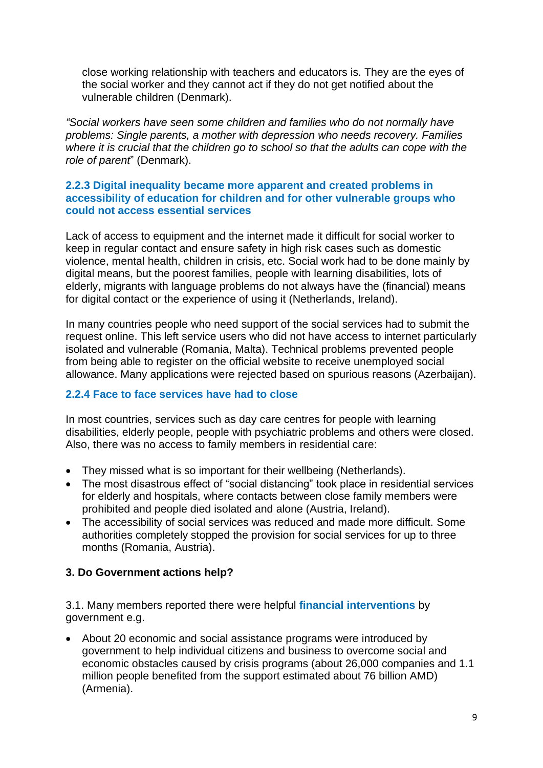close working relationship with teachers and educators is. They are the eyes of the social worker and they cannot act if they do not get notified about the vulnerable children (Denmark).

*"Social workers have seen some children and families who do not normally have problems: Single parents, a mother with depression who needs recovery. Families where it is crucial that the children go to school so that the adults can cope with the role of parent*" (Denmark).

### **2.2.3 Digital inequality became more apparent and created problems in accessibility of education for children and for other vulnerable groups who could not access essential services**

Lack of access to equipment and the internet made it difficult for social worker to keep in regular contact and ensure safety in high risk cases such as domestic violence, mental health, children in crisis, etc. Social work had to be done mainly by digital means, but the poorest families, people with learning disabilities, lots of elderly, migrants with language problems do not always have the (financial) means for digital contact or the experience of using it (Netherlands, Ireland).

In many countries people who need support of the social services had to submit the request online. This left service users who did not have access to internet particularly isolated and vulnerable (Romania, Malta). Technical problems prevented people from being able to register on the official website to receive unemployed social allowance. Many applications were rejected based on spurious reasons (Azerbaijan).

### **2.2.4 Face to face services have had to close**

In most countries, services such as day care centres for people with learning disabilities, elderly people, people with psychiatric problems and others were closed. Also, there was no access to family members in residential care:

- They missed what is so important for their wellbeing (Netherlands).
- The most disastrous effect of "social distancing" took place in residential services for elderly and hospitals, where contacts between close family members were prohibited and people died isolated and alone (Austria, Ireland).
- The accessibility of social services was reduced and made more difficult. Some authorities completely stopped the provision for social services for up to three months (Romania, Austria).

### **3. Do Government actions help?**

3.1. Many members reported there were helpful **financial interventions** by government e.g.

• About 20 economic and social assistance programs were introduced by government to help individual citizens and business to overcome social and economic obstacles caused by crisis programs (about 26,000 companies and 1.1 million people benefited from the support estimated about 76 billion AMD) (Armenia).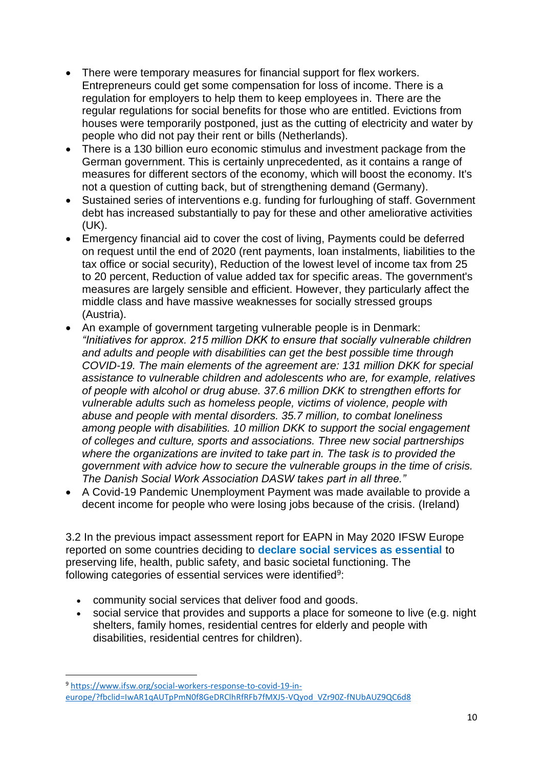- There were temporary measures for financial support for flex workers. Entrepreneurs could get some compensation for loss of income. There is a regulation for employers to help them to keep employees in. There are the regular regulations for social benefits for those who are entitled. Evictions from houses were temporarily postponed, just as the cutting of electricity and water by people who did not pay their rent or bills (Netherlands).
- There is a 130 billion euro economic stimulus and investment package from the German government. This is certainly unprecedented, as it contains a range of measures for different sectors of the economy, which will boost the economy. It's not a question of cutting back, but of strengthening demand (Germany).
- Sustained series of interventions e.g. funding for furloughing of staff. Government debt has increased substantially to pay for these and other ameliorative activities (UK).
- Emergency financial aid to cover the cost of living, Payments could be deferred on request until the end of 2020 (rent payments, loan instalments, liabilities to the tax office or social security), Reduction of the lowest level of income tax from 25 to 20 percent, Reduction of value added tax for specific areas. The government's measures are largely sensible and efficient. However, they particularly affect the middle class and have massive weaknesses for socially stressed groups (Austria).
- An example of government targeting vulnerable people is in Denmark: *"Initiatives for approx. 215 million DKK to ensure that socially vulnerable children and adults and people with disabilities can get the best possible time through COVID-19. The main elements of the agreement are: 131 million DKK for special assistance to vulnerable children and adolescents who are, for example, relatives of people with alcohol or drug abuse. 37.6 million DKK to strengthen efforts for vulnerable adults such as homeless people, victims of violence, people with abuse and people with mental disorders. 35.7 million, to combat loneliness among people with disabilities. 10 million DKK to support the social engagement of colleges and culture, sports and associations. Three new social partnerships where the organizations are invited to take part in. The task is to provided the government with advice how to secure the vulnerable groups in the time of crisis. The Danish Social Work Association DASW takes part in all three."*
- A Covid-19 Pandemic Unemployment Payment was made available to provide a decent income for people who were losing jobs because of the crisis. (Ireland)

3.2 In the previous impact assessment report for EAPN in May 2020 IFSW Europe reported on some countries deciding to **declare social services as essential** to preserving life, health, public safety, and basic societal functioning. The following categories of essential services were identified<sup>9</sup>:

- community social services that deliver food and goods.
- social service that provides and supports a place for someone to live (e.g. night shelters, family homes, residential centres for elderly and people with disabilities, residential centres for children).

<sup>9</sup> [https://www.ifsw.org/social-workers-response-to-covid-19-in](https://www.ifsw.org/social-workers-response-to-covid-19-in-europe/?fbclid=IwAR1qAUTpPmN0f8GeDRClhRfRFb7fMXJ5-VQyod_VZr90Z-fNUbAUZ9QC6d8)[europe/?fbclid=IwAR1qAUTpPmN0f8GeDRClhRfRFb7fMXJ5-VQyod\\_VZr90Z-fNUbAUZ9QC6d8](https://www.ifsw.org/social-workers-response-to-covid-19-in-europe/?fbclid=IwAR1qAUTpPmN0f8GeDRClhRfRFb7fMXJ5-VQyod_VZr90Z-fNUbAUZ9QC6d8)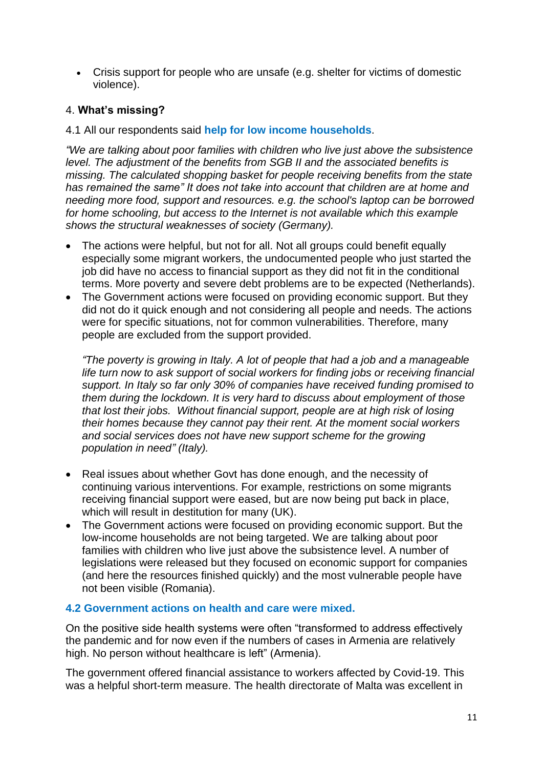• Crisis support for people who are unsafe (e.g. shelter for victims of domestic violence).

### 4. **What's missing?**

#### 4.1 All our respondents said **help for low income households**.

*"We are talking about poor families with children who live just above the subsistence level. The adjustment of the benefits from SGB II and the associated benefits is missing. The calculated shopping basket for people receiving benefits from the state has remained the same" It does not take into account that children are at home and needing more food, support and resources. e.g. the school's laptop can be borrowed for home schooling, but access to the Internet is not available which this example shows the structural weaknesses of society (Germany).* 

- The actions were helpful, but not for all. Not all groups could benefit equally especially some migrant workers, the undocumented people who just started the job did have no access to financial support as they did not fit in the conditional terms. More poverty and severe debt problems are to be expected (Netherlands).
- The Government actions were focused on providing economic support. But they did not do it quick enough and not considering all people and needs. The actions were for specific situations, not for common vulnerabilities. Therefore, many people are excluded from the support provided.

*"The poverty is growing in Italy. A lot of people that had a job and a manageable life turn now to ask support of social workers for finding jobs or receiving financial support. In Italy so far only 30% of companies have received funding promised to them during the lockdown. It is very hard to discuss about employment of those that lost their jobs. Without financial support, people are at high risk of losing their homes because they cannot pay their rent. At the moment social workers and social services does not have new support scheme for the growing population in need" (Italy).* 

- Real issues about whether Govt has done enough, and the necessity of continuing various interventions. For example, restrictions on some migrants receiving financial support were eased, but are now being put back in place, which will result in destitution for many (UK).
- The Government actions were focused on providing economic support. But the low-income households are not being targeted. We are talking about poor families with children who live just above the subsistence level. A number of legislations were released but they focused on economic support for companies (and here the resources finished quickly) and the most vulnerable people have not been visible (Romania).

#### **4.2 Government actions on health and care were mixed.**

On the positive side health systems were often "transformed to address effectively the pandemic and for now even if the numbers of cases in Armenia are relatively high. No person without healthcare is left" (Armenia).

The government offered financial assistance to workers affected by Covid-19. This was a helpful short-term measure. The health directorate of Malta was excellent in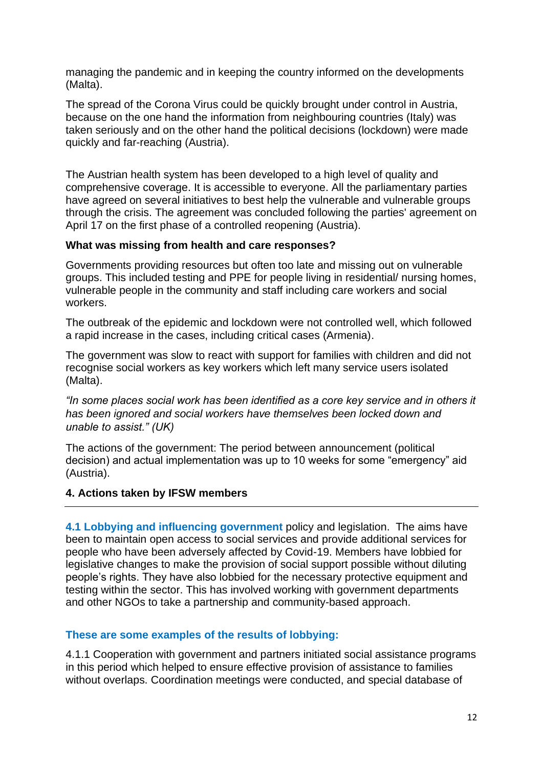managing the pandemic and in keeping the country informed on the developments (Malta).

The spread of the Corona Virus could be quickly brought under control in Austria, because on the one hand the information from neighbouring countries (Italy) was taken seriously and on the other hand the political decisions (lockdown) were made quickly and far-reaching (Austria).

The Austrian health system has been developed to a high level of quality and comprehensive coverage. It is accessible to everyone. All the parliamentary parties have agreed on several initiatives to best help the vulnerable and vulnerable groups through the crisis. The agreement was concluded following the parties' agreement on April 17 on the first phase of a controlled reopening (Austria).

#### **What was missing from health and care responses?**

Governments providing resources but often too late and missing out on vulnerable groups. This included testing and PPE for people living in residential/ nursing homes, vulnerable people in the community and staff including care workers and social workers.

The outbreak of the epidemic and lockdown were not controlled well, which followed a rapid increase in the cases, including critical cases (Armenia).

The government was slow to react with support for families with children and did not recognise social workers as key workers which left many service users isolated (Malta).

*"In some places social work has been identified as a core key service and in others it has been ignored and social workers have themselves been locked down and unable to assist." (UK)* 

The actions of the government: The period between announcement (political decision) and actual implementation was up to 10 weeks for some "emergency" aid (Austria).

#### **4. Actions taken by IFSW members**

**4.1 Lobbying and influencing government** policy and legislation. The aims have been to maintain open access to social services and provide additional services for people who have been adversely affected by Covid-19. Members have lobbied for legislative changes to make the provision of social support possible without diluting people's rights. They have also lobbied for the necessary protective equipment and testing within the sector. This has involved working with government departments and other NGOs to take a partnership and community-based approach.

#### **These are some examples of the results of lobbying:**

4.1.1 Cooperation with government and partners initiated social assistance programs in this period which helped to ensure effective provision of assistance to families without overlaps. Coordination meetings were conducted, and special database of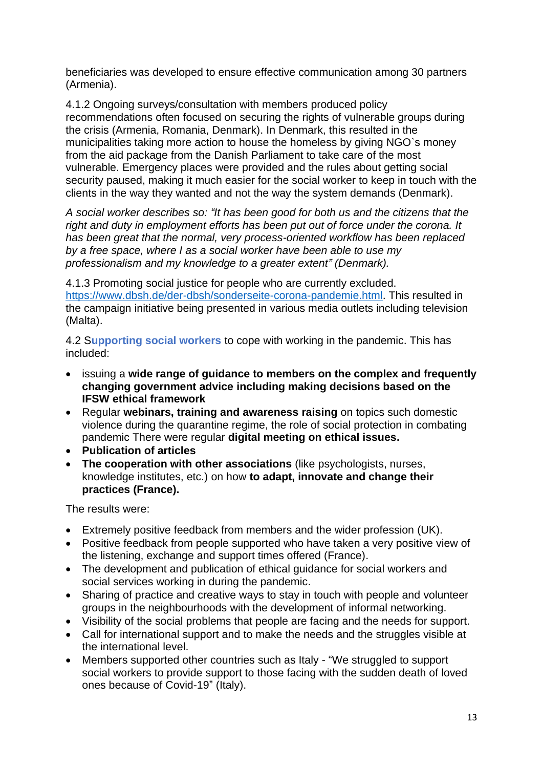beneficiaries was developed to ensure effective communication among 30 partners (Armenia).

4.1.2 Ongoing surveys/consultation with members produced policy recommendations often focused on securing the rights of vulnerable groups during the crisis (Armenia, Romania, Denmark). In Denmark, this resulted in the municipalities taking more action to house the homeless by giving NGO`s money from the aid package from the Danish Parliament to take care of the most vulnerable. Emergency places were provided and the rules about getting social security paused, making it much easier for the social worker to keep in touch with the clients in the way they wanted and not the way the system demands (Denmark).

*A social worker describes so: "It has been good for both us and the citizens that the right and duty in employment efforts has been put out of force under the corona. It has been great that the normal, very process-oriented workflow has been replaced by a free space, where I as a social worker have been able to use my professionalism and my knowledge to a greater extent" (Denmark).* 

4.1.3 Promoting social justice for people who are currently excluded. [https://www.dbsh.de/der-dbsh/sonderseite-corona-pandemie.html.](https://www.dbsh.de/der-dbsh/sonderseite-corona-pandemie.html) This resulted in the campaign initiative being presented in various media outlets including television (Malta).

4.2 S**upporting social workers** to cope with working in the pandemic. This has included:

- issuing a **wide range of guidance to members on the complex and frequently changing government advice including making decisions based on the IFSW ethical framework**
- Regular **webinars, training and awareness raising** on topics such domestic violence during the quarantine regime, the role of social protection in combating pandemic There were regular **digital meeting on ethical issues.**
- **Publication of articles**
- **The cooperation with other associations** (like psychologists, nurses, knowledge institutes, etc.) on how **to adapt, innovate and change their practices (France).**

The results were:

- Extremely positive feedback from members and the wider profession (UK).
- Positive feedback from people supported who have taken a very positive view of the listening, exchange and support times offered (France).
- The development and publication of ethical guidance for social workers and social services working in during the pandemic.
- Sharing of practice and creative ways to stay in touch with people and volunteer groups in the neighbourhoods with the development of informal networking.
- Visibility of the social problems that people are facing and the needs for support.
- Call for international support and to make the needs and the struggles visible at the international level.
- Members supported other countries such as Italy "We struggled to support social workers to provide support to those facing with the sudden death of loved ones because of Covid-19" (Italy).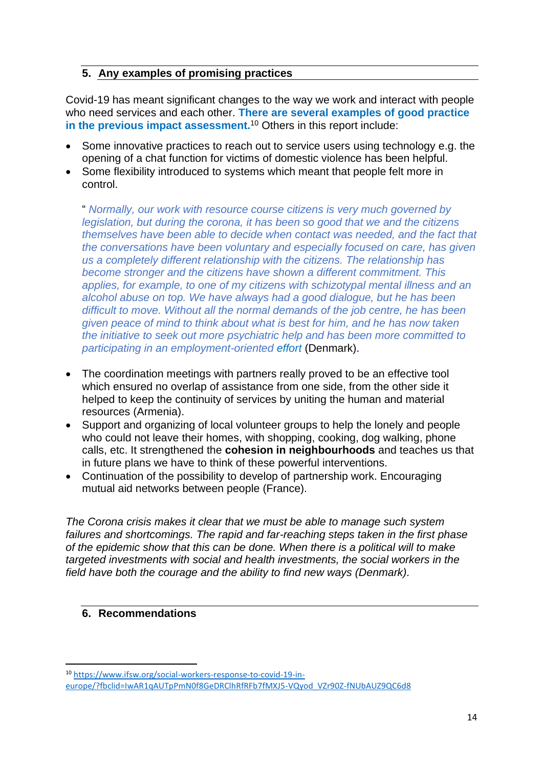### **5. Any examples of promising practices**

Covid-19 has meant significant changes to the way we work and interact with people who need services and each other. **There are several examples of good practice in the previous impact assessment.**<sup>10</sup> Others in this report include:

- Some innovative practices to reach out to service users using technology e.g. the opening of a chat function for victims of domestic violence has been helpful.
- Some flexibility introduced to systems which meant that people felt more in control.

" *Normally, our work with resource course citizens is very much governed by legislation, but during the corona, it has been so good that we and the citizens themselves have been able to decide when contact was needed, and the fact that the conversations have been voluntary and especially focused on care, has given us a completely different relationship with the citizens. The relationship has become stronger and the citizens have shown a different commitment. This applies, for example, to one of my citizens with schizotypal mental illness and an alcohol abuse on top. We have always had a good dialogue, but he has been difficult to move. Without all the normal demands of the job centre, he has been given peace of mind to think about what is best for him, and he has now taken the initiative to seek out more psychiatric help and has been more committed to participating in an employment-oriented effort* (Denmark).

- The coordination meetings with partners really proved to be an effective tool which ensured no overlap of assistance from one side, from the other side it helped to keep the continuity of services by uniting the human and material resources (Armenia).
- Support and organizing of local volunteer groups to help the lonely and people who could not leave their homes, with shopping, cooking, dog walking, phone calls, etc. It strengthened the **cohesion in neighbourhoods** and teaches us that in future plans we have to think of these powerful interventions.
- Continuation of the possibility to develop of partnership work. Encouraging mutual aid networks between people (France).

*The Corona crisis makes it clear that we must be able to manage such system failures and shortcomings. The rapid and far-reaching steps taken in the first phase of the epidemic show that this can be done. When there is a political will to make targeted investments with social and health investments, the social workers in the field have both the courage and the ability to find new ways (Denmark).* 

### **6. Recommendations**

<sup>10</sup> [https://www.ifsw.org/social-workers-response-to-covid-19-in](https://www.ifsw.org/social-workers-response-to-covid-19-in-europe/?fbclid=IwAR1qAUTpPmN0f8GeDRClhRfRFb7fMXJ5-VQyod_VZr90Z-fNUbAUZ9QC6d8)[europe/?fbclid=IwAR1qAUTpPmN0f8GeDRClhRfRFb7fMXJ5-VQyod\\_VZr90Z-fNUbAUZ9QC6d8](https://www.ifsw.org/social-workers-response-to-covid-19-in-europe/?fbclid=IwAR1qAUTpPmN0f8GeDRClhRfRFb7fMXJ5-VQyod_VZr90Z-fNUbAUZ9QC6d8)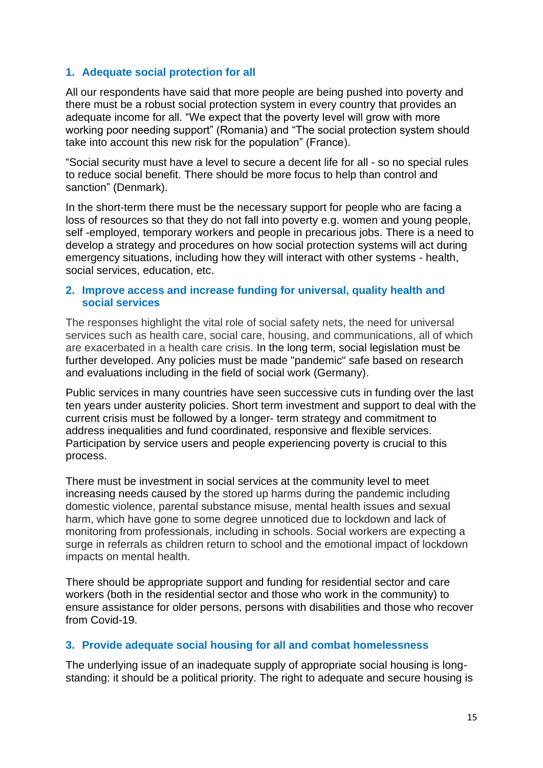### **1. Adequate social protection for all**

All our respondents have said that more people are being pushed into poverty and there must be a robust social protection system in every country that provides an adequate income for all. "We expect that the poverty level will grow with more working poor needing support" (Romania) and "The social protection system should take into account this new risk for the population" (France).

"Social security must have a level to secure a decent life for all - so no special rules to reduce social benefit. There should be more focus to help than control and sanction" (Denmark).

In the short-term there must be the necessary support for people who are facing a loss of resources so that they do not fall into poverty e.g. women and young people, self -employed, temporary workers and people in precarious jobs. There is a need to develop a strategy and procedures on how social protection systems will act during emergency situations, including how they will interact with other systems - health, social services, education, etc.

#### **2. Improve access and increase funding for universal, quality health and social services**

The responses highlight the vital role of social safety nets, the need for universal services such as health care, social care, housing, and communications, all of which are exacerbated in a health care crisis. In the long term, social legislation must be further developed. Any policies must be made "pandemic" safe based on research and evaluations including in the field of social work (Germany).

Public services in many countries have seen successive cuts in funding over the last ten years under austerity policies. Short term investment and support to deal with the current crisis must be followed by a longer- term strategy and commitment to address inequalities and fund coordinated, responsive and flexible services. Participation by service users and people experiencing poverty is crucial to this process.

There must be investment in social services at the community level to meet increasing needs caused by the stored up harms during the pandemic including domestic violence, parental substance misuse, mental health issues and sexual harm, which have gone to some degree unnoticed due to lockdown and lack of monitoring from professionals, including in schools. Social workers are expecting a surge in referrals as children return to school and the emotional impact of lockdown impacts on mental health.

There should be appropriate support and funding for residential sector and care workers (both in the residential sector and those who work in the community) to ensure assistance for older persons, persons with disabilities and those who recover from Covid-19.

#### **3. Provide adequate social housing for all and combat homelessness**

The underlying issue of an inadequate supply of appropriate social housing is longstanding: it should be a political priority. The right to adequate and secure housing is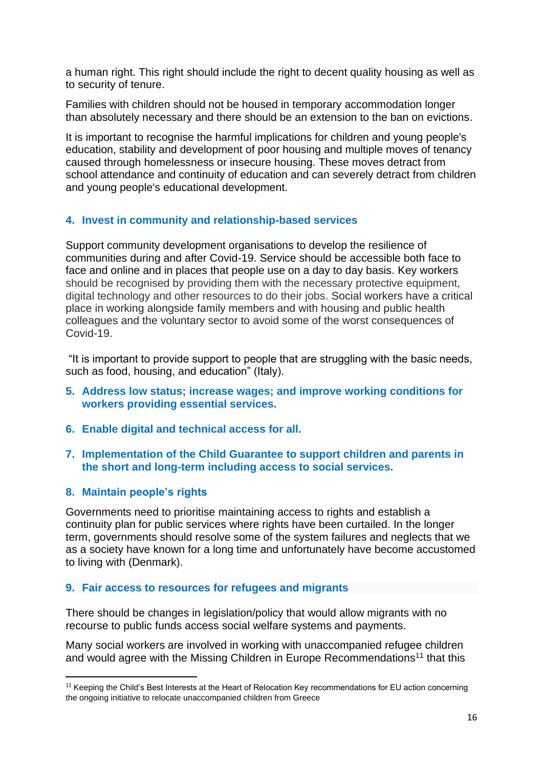a human right. This right should include the right to decent quality housing as well as to security of tenure.

Families with children should not be housed in temporary accommodation longer than absolutely necessary and there should be an extension to the ban on evictions.

It is important to recognise the harmful implications for children and young people's education, stability and development of poor housing and multiple moves of tenancy caused through homelessness or insecure housing. These moves detract from school attendance and continuity of education and can severely detract from children and young people's educational development.

## **4. Invest in community and relationship-based services**

Support community development organisations to develop the resilience of communities during and after Covid-19. Service should be accessible both face to face and online and in places that people use on a day to day basis. Key workers should be recognised by providing them with the necessary protective equipment, digital technology and other resources to do their jobs. Social workers have a critical place in working alongside family members and with housing and public health colleagues and the voluntary sector to avoid some of the worst consequences of Covid-19.

"It is important to provide support to people that are struggling with the basic needs, such as food, housing, and education" (Italy).

- **5. Address low status; increase wages; and improve working conditions for workers providing essential services.**
- **6. Enable digital and technical access for all.**
- **7. Implementation of the Child Guarantee to support children and parents in the short and long-term including access to social services.**

### **8. Maintain people's rights**

Governments need to prioritise maintaining access to rights and establish a continuity plan for public services where rights have been curtailed. In the longer term, governments should resolve some of the system failures and neglects that we as a society have known for a long time and unfortunately have become accustomed to living with (Denmark).

### **9. Fair access to resources for refugees and migrants**

There should be changes in legislation/policy that would allow migrants with no recourse to public funds access social welfare systems and payments.

Many social workers are involved in working with unaccompanied refugee children and would agree with the Missing Children in Europe Recommendations<sup>11</sup> that this

<sup>&</sup>lt;sup>11</sup> Keeping the Child's Best Interests at the Heart of Relocation Key recommendations for EU action concerning the ongoing initiative to relocate unaccompanied children from Greece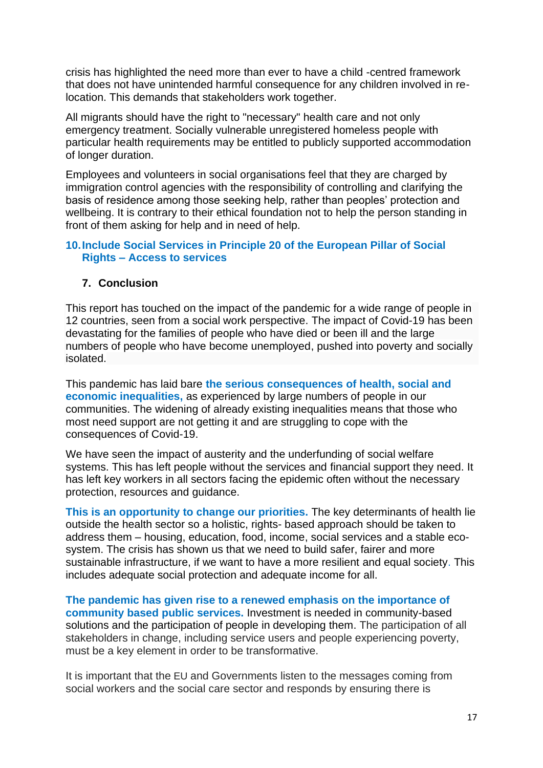crisis has highlighted the need more than ever to have a child -centred framework that does not have unintended harmful consequence for any children involved in relocation. This demands that stakeholders work together.

All migrants should have the right to "necessary" health care and not only emergency treatment. Socially vulnerable unregistered homeless people with particular health requirements may be entitled to publicly supported accommodation of longer duration.

Employees and volunteers in social organisations feel that they are charged by immigration control agencies with the responsibility of controlling and clarifying the basis of residence among those seeking help, rather than peoples' protection and wellbeing. It is contrary to their ethical foundation not to help the person standing in front of them asking for help and in need of help.

#### **10.Include Social Services in Principle 20 of the European Pillar of Social Rights – Access to services**

### **7. Conclusion**

This report has touched on the impact of the pandemic for a wide range of people in 12 countries, seen from a social work perspective. The impact of Covid-19 has been devastating for the families of people who have died or been ill and the large numbers of people who have become unemployed, pushed into poverty and socially isolated.

This pandemic has laid bare **the serious consequences of health, social and economic inequalities,** as experienced by large numbers of people in our communities. The widening of already existing inequalities means that those who most need support are not getting it and are struggling to cope with the consequences of Covid-19.

We have seen the impact of austerity and the underfunding of social welfare systems. This has left people without the services and financial support they need. It has left key workers in all sectors facing the epidemic often without the necessary protection, resources and guidance.

**This is an opportunity to change our priorities.** The key determinants of health lie outside the health sector so a holistic, rights- based approach should be taken to address them – housing, education, food, income, social services and a stable ecosystem. The crisis has shown us that we need to build safer, fairer and more sustainable infrastructure, if we want to have a more resilient and equal society. This includes adequate social protection and adequate income for all.

**The pandemic has given rise to a renewed emphasis on the importance of community based public services.** Investment is needed in community-based solutions and the participation of people in developing them. The participation of all stakeholders in change, including service users and people experiencing poverty, must be a key element in order to be transformative.

It is important that the EU and Governments listen to the messages coming from social workers and the social care sector and responds by ensuring there is